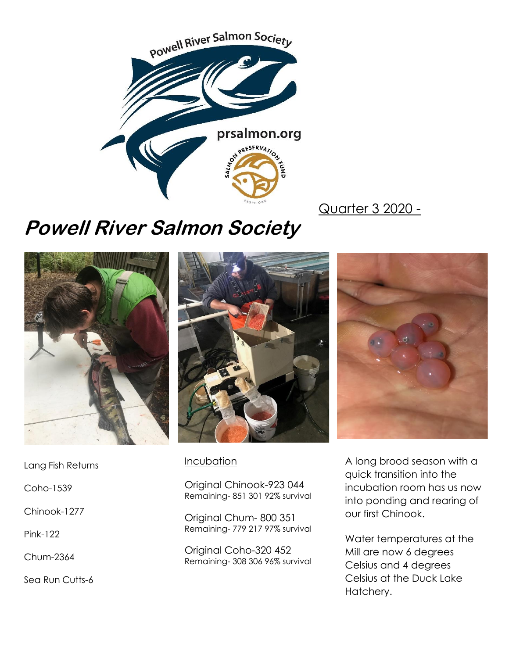

Quarter 3 2020 -

# **Powell River Salmon Society**



Lang Fish Returns

Coho-1539

Chinook-1277

Pink-122

Chum-2364

Sea Run Cutts-6



#### **Incubation**

Original Chinook-923 044 Remaining- 851 301 92% survival

Original Chum- 800 351 Remaining- 779 217 97% survival

Original Coho-320 452 Remaining- 308 306 96% survival



A long brood season with a quick transition into the incubation room has us now into ponding and rearing of our first Chinook.

Water temperatures at the Mill are now 6 degrees Celsius and 4 degrees Celsius at the Duck Lake Hatchery.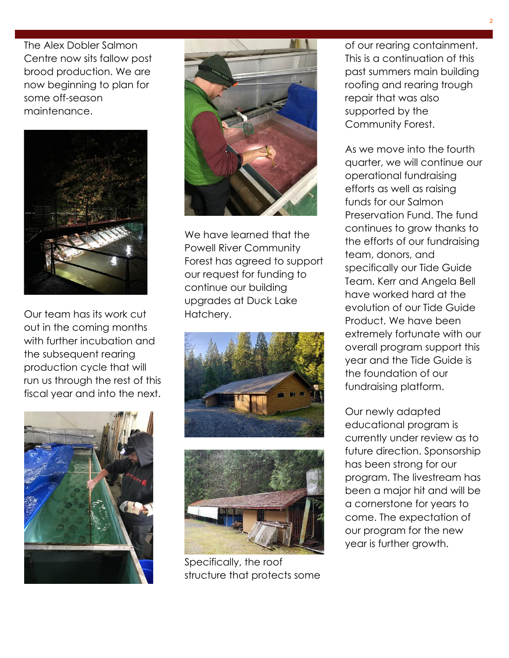The Alex Dobler Salmon Centre now sits fallow post brood production. We are now beginning to plan for some off-season maintenance.



Our team has its work cut out in the coming months with further incubation and the subsequent rearing production cycle that will run us through the rest of this fiscal year and into the next.





We have learned that the Powell River Community Forest has agreed to support our request for funding to continue our building upgrades at Duck Lake Hatchery.





Specifically, the roof structure that protects some

of our rearing containment. This is a continuation of this past summers main building roofing and rearing trough repair that was also supported by the Community Forest.

As we move into the fourth quarter, we will continue our operational fundraising efforts as well as raising funds for our Salmon Preservation Fund. The fund continues to grow thanks to the efforts of our fundraising team, donors, and specifically our Tide Guide Team. Kerr and Angela Bell have worked hard at the evolution of our Tide Guide Product. We have been extremely fortunate with our overall program support this year and the Tide Guide is the foundation of our fundraising platform.

Our newly adapted educational program is currently under review as to future direction. Sponsorship has been strong for our program. The livestream has been a major hit and will be a cornerstone for years to come. The expectation of our program for the new year is further growth.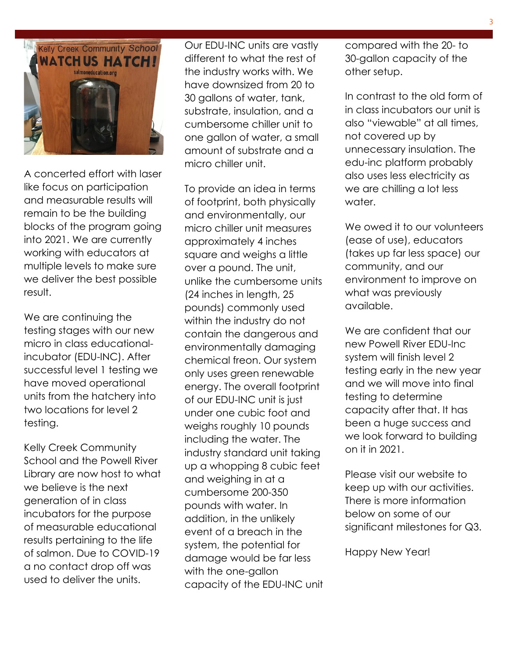

A concerted effort with laser like focus on participation and measurable results will remain to be the building blocks of the program going into 2021. We are currently working with educators at multiple levels to make sure we deliver the best possible result.

We are continuing the testing stages with our new micro in class educationalincubator (EDU-INC). After successful level 1 testing we have moved operational units from the hatchery into two locations for level 2 testing.

Kelly Creek Community School and the Powell River Library are now host to what we believe is the next generation of in class incubators for the purpose of measurable educational results pertaining to the life of salmon. Due to COVID-19 a no contact drop off was used to deliver the units.

Our EDU-INC units are vastly different to what the rest of the industry works with. We have downsized from 20 to 30 gallons of water, tank, substrate, insulation, and a cumbersome chiller unit to one gallon of water, a small amount of substrate and a micro chiller unit.

To provide an idea in terms of footprint, both physically and environmentally, our micro chiller unit measures approximately 4 inches square and weighs a little over a pound. The unit, unlike the cumbersome units (24 inches in length, 25 pounds) commonly used within the industry do not contain the dangerous and environmentally damaging chemical freon. Our system only uses green renewable energy. The overall footprint of our EDU-INC unit is just under one cubic foot and weighs roughly 10 pounds including the water. The industry standard unit taking up a whopping 8 cubic feet and weighing in at a cumbersome 200-350 pounds with water. In addition, in the unlikely event of a breach in the system, the potential for damage would be far less with the one-gallon capacity of the EDU-INC unit compared with the 20- to 30-gallon capacity of the other setup.

In contrast to the old form of in class incubators our unit is also "viewable" at all times, not covered up by unnecessary insulation. The edu-inc platform probably also uses less electricity as we are chilling a lot less water.

We owed it to our volunteers (ease of use), educators (takes up far less space) our community, and our environment to improve on what was previously available.

We are confident that our new Powell River EDU-Inc system will finish level 2 testing early in the new year and we will move into final testing to determine capacity after that. It has been a huge success and we look forward to building on it in 2021.

Please visit our website to keep up with our activities. There is more information below on some of our significant milestones for Q3.

Happy New Year!